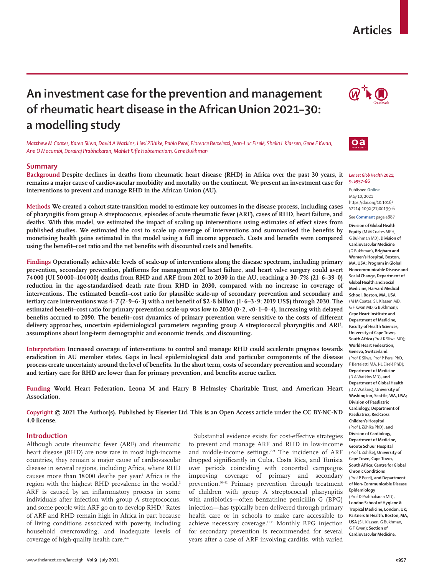## **Articles**

# **An investment case for the prevention and management of rheumatic heart disease in the African Union 2021–30: a modelling study**

*Matthew M Coates, Karen Sliwa, David A Watkins, Liesl Zühlke, Pablo Perel, Florence Berteletti, Jean-Luc Eiselé, Sheila L Klassen, Gene F Kwan, Ana O Mocumbi, Dorairaj Prabhakaran, Mahlet Kifle Habtemariam, Gene Bukhman*

#### **Summary**

**Background Despite declines in deaths from rheumatic heart disease (RHD) in Africa over the past 30 years, it remains a major cause of cardiovascular morbidity and mortality on the continent. We present an investment case for interventions to prevent and manage RHD in the African Union (AU).**

**Methods We created a cohort state-transition model to estimate key outcomes in the disease process, including cases of pharyngitis from group A streptococcus, episodes of acute rheumatic fever (ARF), cases of RHD, heart failure, and deaths. With this model, we estimated the impact of scaling up interventions using estimates of effect sizes from published studies. We estimated the cost to scale up coverage of interventions and summarised the benefits by monetising health gains estimated in the model using a full income approach. Costs and benefits were compared using the benefit–cost ratio and the net benefits with discounted costs and benefits.**

**Findings Operationally achievable levels of scale-up of interventions along the disease spectrum, including primary prevention, secondary prevention, platforms for management of heart failure, and heart valve surgery could avert 74 000 (UI 50 000–104000) deaths from RHD and ARF from 2021 to 2030 in the AU, reaching a 30·7% (21·6–39·0) reduction in the age-standardised death rate from RHD in 2030, compared with no increase in coverage of interventions. The estimated benefit–cost ratio for plausible scale-up of secondary prevention and secondary and tertiary care interventions was 4·7 (2·9–6·3) with a net benefit of \$2·8 billion (1·6–3·9; 2019 US\$) through 2030. The estimated benefit–cost ratio for primary prevention scale-up was low to 2030 (0·2, <0·1–0·4), increasing with delayed benefits accrued to 2090. The benefit–cost dynamics of primary prevention were sensitive to the costs of different delivery approaches, uncertain epidemiological parameters regarding group A streptococcal pharyngitis and ARF, assumptions about long-term demographic and economic trends, and discounting.**

**Interpretation Increased coverage of interventions to control and manage RHD could accelerate progress towards eradication in AU member states. Gaps in local epidemiological data and particular components of the disease process create uncertainty around the level of benefits. In the short term, costs of secondary prevention and secondary and tertiary care for RHD are lower than for primary prevention, and benefits accrue earlier.**

**Funding World Heart Federation, Leona M and Harry B Helmsley Charitable Trust, and American Heart Association.**

**Copyright © 2021 The Author(s). Published by Elsevier Ltd. This is an Open Access article under the CC BY-NC-ND 4.0 license.**

#### **Introduction**

Although acute rheumatic fever (ARF) and rheumatic heart disease (RHD) are now rare in most high-income countries, they remain a major cause of cardiovascular disease in several regions, including Africa, where RHD causes more than 18000 deaths per year.<sup>1</sup> Africa is the region with the highest RHD prevalence in the world.<sup>2</sup> ARF is caused by an inflammatory process in some individuals after infection with group A streptococcus, and some people with ARF go on to develop RHD.<sup>3</sup> Rates of ARF and RHD remain high in Africa in part because of living conditions associated with poverty, including household overcrowding, and inadequate levels of coverage of high-quality health care. $4-6$ 

Substantial evidence exists for cost-effective strategies to prevent and manage ARF and RHD in low-income and middle-income settings.<sup>7-9</sup> The incidence of ARF dropped significantly in Cuba, Costa Rica, and Tunisia over periods coinciding with concerted campaigns improving coverage of primary and secondary prevention.10–12 Primary prevention through treatment of children with group A streptococcal pharyngitis with antibiotics—often benzathine penicillin G (BPG) injection—has typically been delivered through primary health care or in schools to make care accessible to achieve necessary coverage.11,13 Monthly BPG injection for secondary prevention is recommended for several years after a case of ARF involving carditis, with varied





#### *Lancet Glob Health* **2021; 9: e957–66**

Published **Online** May 10, 2021 https://doi.org/10.1016/ S2214-109X(21)00199-6

See **Comment** page e887 **Division of Global Health Equity** (M M Coates MPH,

G Bukhman MD)**, Division of Cardiovascular Medicine**  (G Bukhman)**, Brigham and Women's Hospital, Boston, MA, USA; Program in Global Noncommunicable Disease and Social Change, Department of Global Health and Social Medicine, Harvard Medical School, Boston, MA, USA** (M M Coates, S L Klassen MD, G F Kwan MD, G Bukhman)**; Cape Heart Institute and Department of Medicine, Faculty of Health Sciences, University of Cape Town, South Africa** (Prof K Sliwa MD)**; World Heart Federation, Geneva, Switzerland**  (Prof K Sliwa, Prof P Perel PhD, F Berteletti MA, J-L Eiselé PhD)**; Department of Medicine**  (D A Watkins MD)**, and Department of Global Health** (D A Watkins)**, University of Washington, Seattle, WA, USA; Division of Paediatric Cardiology, Department of Paediatrics, Red Cross Children's Hospital** (Prof L Zühlke PhD)**, and Division of Cardiology, Department of Medicine, Groote Schuur Hospital**  (Prof L Zühlke)**, University of Cape Town, Cape Town, South Africa; Centre for Global Chronic Conditions**  (Prof P Perel)**, and Department of Non-Communicable Disease Epidemiology**  (Prof D Prabhakaran MD)**, London School of Hygiene & Tropical Medicine, London, UK; Partners In Health, Boston, MA, USA** (S L Klassen, G Bukhman, G F Kwan)**; Section of Cardiovascular Medicine,**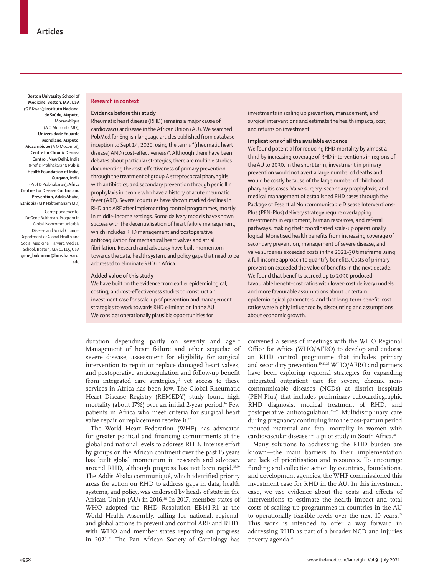**Boston University School of Medicine, Boston, MA, USA**  (G F Kwan)**; Instituto Nacional de Saúde, Maputo, Mozambique**  (A O Mocumbi MD)**; Universidade Eduardo Mondlane, Maputo, Mozambique** (A O Mocumbi)**; Centre for Chronic Disease Control, New Delhi, India**  (Prof D Prabhakaran)**; Public Health Foundation of India, Gurgaon, India**  (Prof D Prabhakaran)**; Africa Centres for Disease Control and Prevention, Addis Ababa, Ethiopia** (M K Habtemariam MD)

Correspondence to: Dr Gene Bukhman, Program in Global Noncommunicable Disease and Social Change, Department of Global Health and Social Medicine, Harvard Medical School, Boston, MA 02115, USA **gene\_bukhman@hms.harvard. edu**

#### **Research in context**

### **Evidence before this study**

Rheumatic heart disease (RHD) remains a major cause of cardiovascular disease in the African Union (AU). We searched PubMed for English language articles published from database inception to Sept 14, 2020, using the terms "(rheumatic heart disease) AND (cost-effectiveness)". Although there have been debates about particular strategies, there are multiple studies documenting the cost-effectiveness of primary prevention through the treatment of group A streptococcal pharyngitis with antibiotics, and secondary prevention through penicillin prophylaxis in people who have a history of acute rheumatic fever (ARF). Several countries have shown marked declines in RHD and ARF after implementing control programmes, mostly in middle-income settings. Some delivery models have shown success with the decentralisation of heart failure management, which includes RHD management and postoperative anticoagulation for mechanical heart valves and atrial fibrillation. Research and advocacy have built momentum towards the data, health system, and policy gaps that need to be addressed to eliminate RHD in Africa.

#### **Added value of this study**

We have built on the evidence from earlier epidemiological, costing, and cost-effectiveness studies to construct an investment case for scale-up of prevention and management strategies to work towards RHD elimination in the AU. We consider operationally plausible opportunities for

duration depending partly on severity and age.<sup>14</sup> Management of heart failure and other sequelae of severe disease, assessment for eligibility for surgical intervention to repair or replace damaged heart valves, and postoperative anticoagulation and follow-up benefit from integrated care strategies,<sup>15</sup> yet access to these services in Africa has been low. The Global Rheumatic Heart Disease Registry (REMEDY) study found high mortality (about 17%) over an initial 2-year period.<sup>16</sup> Few patients in Africa who meet criteria for surgical heart valve repair or replacement receive it.<sup>17</sup>

The World Heart Federation (WHF) has advocated for greater political and financing commitments at the global and national levels to address RHD. Intense effort by groups on the African continent over the past 15 years has built global momentum in research and advocacy around RHD, although progress has not been rapid.<sup>18,19</sup> The Addis Ababa communiqué, which identified priority areas for action on RHD to address gaps in data, health systems, and policy, was endorsed by heads of state in the African Union (AU) in 2016.<sup>20</sup> In 2017, member states of WHO adopted the RHD Resolution EB141.R1 at the World Health Assembly, calling for national, regional, and global actions to prevent and control ARF and RHD, with WHO and member states reporting on progress in 2021.<sup>21</sup> The Pan African Society of Cardiology has investments in scaling up prevention, management, and surgical interventions and estimate the health impacts, cost, and returns on investment.

## **Implications of all the available evidence**

We found potential for reducing RHD mortality by almost a third by increasing coverage of RHD interventions in regions of the AU to 2030. In the short term, investment in primary prevention would not avert a large number of deaths and would be costly because of the large number of childhood pharyngitis cases. Valve surgery, secondary prophylaxis, and medical management of established RHD cases through the Package of Essential Noncommunicable Disease Interventions-Plus (PEN-Plus) delivery strategy require overlapping investments in equipment, human resources, and referral pathways, making their coordinated scale-up operationally logical. Monetised health benefits from increasing coverage of secondary prevention, management of severe disease, and valve surgeries exceeded costs in the 2021–30 timeframe using a full income approach to quantify benefits. Costs of primary prevention exceeded the value of benefits in the next decade. We found that benefits accrued up to 2090 produced favourable benefit–cost ratios with lower-cost delivery models and more favourable assumptions about uncertain epidemiological parameters, and that long-term benefit–cost ratios were highly influenced by discounting and assumptions about economic growth.

convened a series of meetings with the WHO Regional Office for Africa (WHO/AFRO) to develop and endorse an RHD control programme that includes primary and secondary prevention.<sup>19,21,22</sup> WHO/AFRO and partners have been exploring regional strategies for expanding integrated outpatient care for severe, chronic noncommunicable diseases (NCDs) at district hospitals (PEN-Plus) that includes preliminary echocardiographic RHD diagnosis, medical treatment of RHD, and postoperative anticoagulation.23–25 Multidisciplinary care during pregnancy continuing into the post-partum period reduced maternal and fetal mortality in women with cardiovascular disease in a pilot study in South Africa.<sup>26</sup>

Many solutions to addressing the RHD burden are known—the main barriers to their implementation are lack of prioritisation and resources. To encourage funding and collective action by countries, foundations, and development agencies, the WHF commissioned this investment case for RHD in the AU. In this investment case, we use evidence about the costs and effects of interventions to estimate the health impact and total costs of scaling up programmes in countries in the AU to operationally feasible levels over the next 10 years.<sup>27</sup> This work is intended to offer a way forward in addressing RHD as part of a broader NCD and injuries poverty agenda.<sup>28</sup>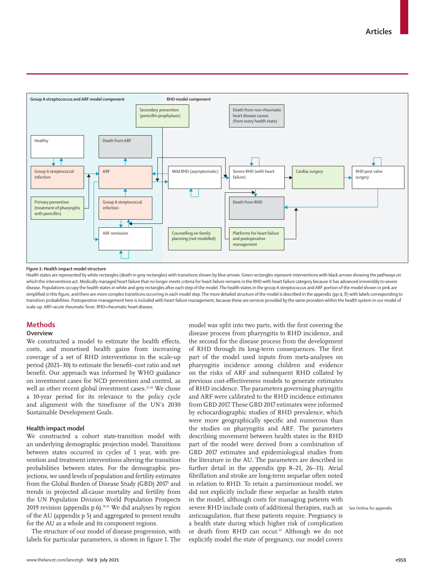

#### *Figure 1:* **Health impact model structure**

Health states are represented by white rectangles (death in grey rectangles) with transitions shown by blue arrows. Green rectangles represent interventions with black arrows showing the pathways on which the interventions act. Medically managed heart failure that no longer meets criteria for heart failure remains in the RHD with heart failure category because it has advanced irreversibly to severe disease. Populations occupy the health states in white and grey rectangles after each step of the model. The health states in the group A streptococcus and ARF portion of the model shown in pink are simplified in this figure, and there are more complex transitions occurring in each model step. The more detailed structure of the model is described in the appendix (pp 4, 8) with labels corresponding to transition probabilities. Postoperative management here is included with heart failure management, because these are services provided by the same providers within the health system in our model of scale-up. ARF=acute rheumatic fever. RHD=rheumatic heart disease.

## **Methods**

#### **Overview**

We constructed a model to estimate the health effects, costs, and monetised health gains from increasing coverage of a set of RHD interventions in the scale-up period (2021–30) to estimate the benefit–cost ratio and net benefit. Our approach was informed by WHO guidance on investment cases for NCD prevention and control, as well as other recent global investment cases.<sup>27,29</sup> We chose a 10-year period for its relevance to the policy cycle and alignment with the timeframe of the UN's 2030 Sustainable Development Goals.

## **Health impact model**

We constructed a cohort state-transition model with an underlying demographic projection model. Transitions between states occurred in cycles of 1 year, with prevention and treatment interventions altering the transition probabilities between states. For the demographic projections, we used levels of population and fertility estimates from the Global Burden of Disease Study (GBD) 20171 and trends in projected all-cause mortality and fertility from the UN Population Division World Population Prospects 2019 revision (appendix p 6). $30,31$  We did analyses by region of the AU (appendix p 5) and aggregated to present results for the AU as a whole and its component regions.

The structure of our model of disease progression, with labels for particular parameters, is shown in figure 1. The model was split into two parts, with the first covering the disease process from pharyngitis to RHD incidence, and the second for the disease process from the development of RHD through its long-term consequences. The first part of the model used inputs from meta-analyses on pharyngitis incidence among children and evidence on the risks of ARF and subsequent RHD collated by previous cost-effectiveness models to generate estimates of RHD incidence. The parameters governing pharyngitis and ARF were calibrated to the RHD incidence estimates from GBD 2017. These GBD 2017 estimates were informed by echocardiographic studies of RHD prevalence, which were more geographically specific and numerous than the studies on pharyngitis and ARF. The parameters describing movement between health states in the RHD part of the model were derived from a combination of GBD 2017 estimates and epidemiological studies from the literature in the AU. The parameters are described in further detail in the appendix (pp 8–21, 26–31). Atrial fibrillation and stroke are long-term sequelae often noted in relation to RHD. To retain a parsimonious model, we did not explicitly include these sequelae as health states in the model, although costs for managing patients with severe RHD include costs of additional therapies, such as anticoagulation, that these patients require. Pregnancy is a health state during which higher risk of complication or death from RHD can occur.<sup>32</sup> Although we do not explicitly model the state of pregnancy, our model covers

See **Online** for appendix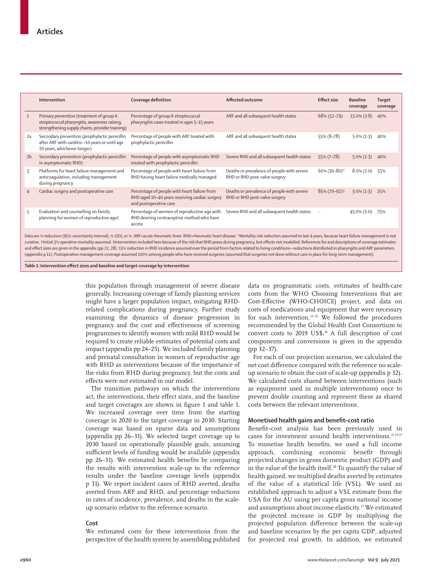|                                                                                                                                                                                                                                                                                                                                                                                                                                                                                                                                                                                                                                                                                                                                                                                                                                                             | Intervention                                                                                                                                 | Coverage definition                                                                                                      | Affected outcome                                                            | <b>Effect size</b>       | <b>Baseline</b><br>coverage | <b>Target</b><br>coverage |  |  |
|-------------------------------------------------------------------------------------------------------------------------------------------------------------------------------------------------------------------------------------------------------------------------------------------------------------------------------------------------------------------------------------------------------------------------------------------------------------------------------------------------------------------------------------------------------------------------------------------------------------------------------------------------------------------------------------------------------------------------------------------------------------------------------------------------------------------------------------------------------------|----------------------------------------------------------------------------------------------------------------------------------------------|--------------------------------------------------------------------------------------------------------------------------|-----------------------------------------------------------------------------|--------------------------|-----------------------------|---------------------------|--|--|
| $\mathbf{1}$                                                                                                                                                                                                                                                                                                                                                                                                                                                                                                                                                                                                                                                                                                                                                                                                                                                | Primary prevention (treatment of group A<br>streptococcal pharyngitis, awareness raising,<br>strengthening supply chains, provider training) | Percentage of group A streptococcal<br>pharyngitis cases treated in ages 5-15 years                                      | ARF and all subsequent health states                                        | 68% (52-79)              | $15.0\%$ (3.8)              | 40%                       |  |  |
| 2a                                                                                                                                                                                                                                                                                                                                                                                                                                                                                                                                                                                                                                                                                                                                                                                                                                                          | Secondary prevention (prophylactic penicillin<br>after ARF with carditis-10 years or until age<br>20 years, whichever longer)                | Percentage of people with ARF treated with<br>prophylactic penicillin                                                    | ARF and all subsequent health states                                        | 55% (8-78)               | $5.0\%$ (1.3)               | 40%                       |  |  |
| 2 <sub>b</sub>                                                                                                                                                                                                                                                                                                                                                                                                                                                                                                                                                                                                                                                                                                                                                                                                                                              | Secondary prevention (prophylactic penicillin<br>in asymptomatic RHD)                                                                        | Percentage of people with asymptomatic RHD<br>treated with prophylactic penicillin                                       | Severe RHD and all subsequent health states                                 | 55% (7-78)               | $5.0\%$ (1.3)               | 40%                       |  |  |
| 3                                                                                                                                                                                                                                                                                                                                                                                                                                                                                                                                                                                                                                                                                                                                                                                                                                                           | Platforms for heart failure management and<br>anticoaqulation, including management<br>during pregnancy                                      | Percentage of people with heart failure from<br>RHD having heart failure medically managed                               | Deaths or prevalence of people with severe<br>RHD or RHD post-valve surgery | 60% (30-80)*             | $8.0\%$ (2.0)               | 55%                       |  |  |
|                                                                                                                                                                                                                                                                                                                                                                                                                                                                                                                                                                                                                                                                                                                                                                                                                                                             | Cardiac surgery and postoperative care                                                                                                       | Percentage of people with heart failure from<br>RHD aged 10-40 years receiving cardiac surgery<br>and postoperative care | Deaths or prevalence of people with severe<br>RHD or RHD post-valve surgery | 85% (70-92) <sup>†</sup> | $5.0\%$ (1.3)               | 25%                       |  |  |
| 5                                                                                                                                                                                                                                                                                                                                                                                                                                                                                                                                                                                                                                                                                                                                                                                                                                                           | Evaluation and counselling on family<br>planning for women of reproductive age‡                                                              | Percentage of women of reproductive age with<br>RHD desiring contraceptive method who have<br>access                     | Severe RHD and all subsequent health states                                 | $\ldots$                 | $45.0\%$ (5.0)              | 75%                       |  |  |
| Data are % reduction (95% uncertainty interval), % (SD), or %. ARF=acute rheumatic fever. RHD=rheumatic heart disease. *Mortality risk reduction assumed to last 4 years, because heart failure management is not<br>curative. +Initial 3% operative mortality assumed. #Intervention included here because of the risk that RHD poses during pregnancy, but effects not modelled. References for and descriptions of coverage estimates<br>and effect sizes are given in the appendix (pp 22, 28). 15% reduction in RHD incidence assumed over the period from factors related to living conditions-reductions distributed in pharyngitis and ARF parameters<br>(appendix p 11). Postoperative management coverage assumed 100% among people who have received surgeries (assumed that surgeries not done without care in place for long-term management). |                                                                                                                                              |                                                                                                                          |                                                                             |                          |                             |                           |  |  |

*Table 1:* **Intervention effect sizes and baseline and target coverage by intervention**

this population through management of severe disease generally. Increasing coverage of family planning services might have a larger population impact, mitigating RHDrelated complications during pregnancy. Further study examining the dynamics of disease progression in pregnancy and the cost and effectiveness of screening programmes to identify women with mild RHD would be required to create reliable estimates of potential costs and impact (appendix pp 24–25). We included family planning and prenatal consultation in women of reproductive age with RHD as interventions because of the importance of the risks from RHD during pregnancy, but the costs and effects were not estimated in our model.

The transition pathways on which the interventions act, the interventions, their effect sizes, and the baseline and target coverages are shown in figure 1 and table 1. We increased coverage over time from the starting coverage in 2020 to the target coverage in 2030. Starting coverage was based on sparse data and assumptions (appendix pp 26–31). We selected target coverage up to 2030 based on operationally plausible goals, assuming sufficient levels of funding would be available (appendix pp 26–31). We estimated health benefits by comparing the results with intervention scale-up to the reference results under the baseline coverage levels (appendix p 31). We report incident cases of RHD averted, deaths averted from ARF and RHD, and percentage reductions in rates of incidence, prevalence, and deaths in the scaleup scenario relative to the reference scenario.

#### **Cost**

We estimated costs for these interventions from the perspective of the health system by assembling published data on programmatic costs, estimates of health-care costs from the WHO Choosing Interventions that are Cost-Effective (WHO-CHOICE) project, and data on costs of medications and equipment that were necessary for each intervention.<sup>33-35</sup> We followed the procedures recommended by the Global Health Cost Consortium to convert costs to 2019 US\$.36 A full description of cost components and conversions is given in the appendix (pp 32–37).

For each of our projection scenarios, we calculated the net cost difference compared with the reference no scaleup scenario to obtain the cost of scale-up (appendix p 32). We calculated costs shared between interventions (such as equipment used in multiple interventions) once to prevent double counting and represent these as shared costs between the relevant interventions.

## **Monetised health gains and benefit–cost ratio**

Benefit–cost analysis has been previously used in cases for investment around health interventions.27,29,37 To monetise health benefits, we used a full income approach, combining economic benefit through projected changes in gross domestic product (GDP) and in the value of the health itself.<sup>38</sup> To quantify the value of health gained, we multiplied deaths averted by estimates of the value of a statistical life (VSL). We used an established approach to adjust a VSL estimate from the USA for the AU using per capita gross national income and assumptions about income elasticity.<sup>37</sup> We estimated the projected increase in GDP by multiplying the projected population difference between the scale-up and baseline scenarios by the per capita GDP, adjusted for projected real growth. In addition, we estimated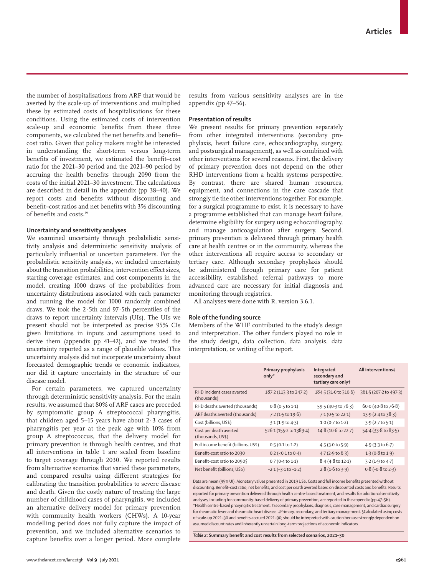the number of hospitalisations from ARF that would be averted by the scale-up of interventions and multiplied these by estimated costs of hospitalisations for these conditions. Using the estimated costs of intervention scale-up and economic benefits from these three components, we calculated the net benefits and benefit– cost ratio. Given that policy makers might be interested in understanding the short-term versus long-term benefits of investment, we estimated the benefit–cost ratio for the 2021–30 period and the 2021–90 period by accruing the health benefits through 2090 from the costs of the initial 2021–30 investment. The calculations are described in detail in the appendix (pp 38–40). We report costs and benefits without discounting and benefit–cost ratios and net benefits with 3% discounting of benefits and costs.<sup>39</sup>

#### **Uncertainty and sensitivity analyses**

We examined uncertainty through probabilistic sensitivity analysis and deterministic sensitivity analysis of particularly influential or uncertain parameters. For the probabilistic sensitivity analysis, we included uncertainty about the transition probabilities, intervention effect sizes, starting coverage estimates, and cost components in the model, creating 1000 draws of the probabilities from uncertainty distributions associated with each parameter and running the model for 1000 randomly combined draws. We took the 2·5th and 97·5th percentiles of the draws to report uncertainty intervals (UIs). The UIs we present should not be interpreted as precise 95% CIs given limitations in inputs and assumptions used to derive them (appendix pp 41–42), and we treated the uncertainty reported as a range of plausible values. This uncertainty analysis did not incorporate uncertainty about forecasted demographic trends or economic indicators, nor did it capture uncertainty in the structure of our disease model.

For certain parameters, we captured uncertainty through deterministic sensitivity analysis. For the main results, we assumed that 80% of ARF cases are preceded by symptomatic group A streptococcal pharyngitis, that children aged  $5-15$  years have about  $2 \cdot 3$  cases of pharyngitis per year at the peak age with 10% from group A streptococcus, that the delivery model for primary prevention is through health centres, and that all interventions in table 1 are scaled from baseline to target coverage through 2030. We reported results from alternative scenarios that varied these parameters, and compared results using different strategies for calibrating the transition probabilities to severe disease and death. Given the costly nature of treating the large number of childhood cases of pharyngitis, we included an alternative delivery model for primary prevention with community health workers (CHWs). A 10-year modelling period does not fully capture the impact of prevention, and we included alternative scenarios to capture benefits over a longer period. More complete

results from various sensitivity analyses are in the appendix (pp 47–56).

## **Presentation of results**

We present results for primary prevention separately from other integrated interventions (secondary prophylaxis, heart failure care, echocardiography, surgery, and postsurgical management), as well as combined with other interventions for several reasons. First, the delivery of primary prevention does not depend on the other RHD interventions from a health systems perspective. By contrast, there are shared human resources, equipment, and connections in the care cascade that strongly tie the other interventions together. For example, for a surgical programme to exist, it is necessary to have a programme established that can manage heart failure, determine eligibility for surgery using echocardiography, and manage anticoagulation after surgery. Second, primary prevention is delivered through primary health care at health centres or in the community, whereas the other interventions all require access to secondary or tertiary care. Although secondary prophylaxis should be administered through primary care for patient accessibility, established referral pathways to more advanced care are necessary for initial diagnosis and monitoring through registries.

All analyses were done with R, version 3.6.1.

## **Role of the funding source**

Members of the WHF contributed to the study's design and interpretation. The other funders played no role in the study design, data collection, data analysis, data interpretation, or writing of the report.

|                                             | Primary prophylaxis<br>$only*$ | Integrated<br>secondary and<br>tertiary care onlyt | All interventions‡           |
|---------------------------------------------|--------------------------------|----------------------------------------------------|------------------------------|
| RHD incident cases averted<br>(thousands)   | 187.2 (113.3 to 247.2)         | 184.5 (31.0 to 310.6)                              | 361.5 (207.2 to 497.3)       |
| RHD deaths averted (thousands)              | $0.8(0.5 \text{ to } 1.1)$     | 59.5 (40.3 to 76.3)                                | 60.0 (40.8 to 76.8)          |
| ARF deaths averted (thousands)              | $7.2$ (1.5 to 19.6)            | 7.1 (0.5 to 22.1)                                  | $13.9(2.4 \text{ to } 38.3)$ |
| Cost (billions, US\$)                       | 3.1(1.9 to 4.3)                | $1.0$ (0.7 to $1.2$ )                              | 3.9(2.7 to 5.1)              |
| Cost per death averted<br>(thousands, US\$) | 526.1 (155.2 to 1389.4)        | 14.8 (10.6 to 22.7)                                | 54.4 (33.8 to 83.5)          |
| Full income benefit (billions, US\$)        | 0.5(0.1 to 1.2)                | 4.5 (3.0 to 5.9)                                   | $4.9$ (3.3 to 6.7)           |
| Benefit-cost ratio to 2030                  | $0.2$ (<0.1 to 0.4)            | $4.7(2.9 \text{ to } 6.3)$                         | $1.3(0.8 \text{ to } 1.9)$   |
| Benefit-cost ratio to 2090\                 | $0.7(0.4 \text{ to } 1.1)$     | 8.4 (4.8 to 12.1)                                  | 3.2 (1.9 to 4.7)             |
| Net benefit (billions, US\$)                | $-2.1(-3.1$ to $-1.2)$         | $2.8(1.6 \text{ to } 3.9)$                         | $0.8$ ( $-0.8$ to $2.3$ )    |

Data are mean (95% UI). Monetary values presented in 2019 US\$. Costs and full income benefits presented without discounting. Benefit–cost ratio, net benefits, and cost per death averted based on discounted costs and benefits. Results reported for primary prevention delivered through health centre-based treatment, and results for additional sensitivity analyses, including for community-based delivery of primary prevention, are reported in the appendix (pp 47–56). \*Health centre-based pharyngitis treatment. †Secondary prophylaxis, diagnosis, case management, and cardiac surgery for rheumatic fever and rheumatic heart disease. ‡Primary, secondary, and tertiary management. §Calculated using costs of scale-up 2021–30 and benefits accrued 2021–90; should be interpreted with caution because strongly dependent on assumed discount rates and inherently uncertain long-term projections of economic indicators.

*Table 2:* **Summary benefit and cost results from selected scenarios, 2021–30**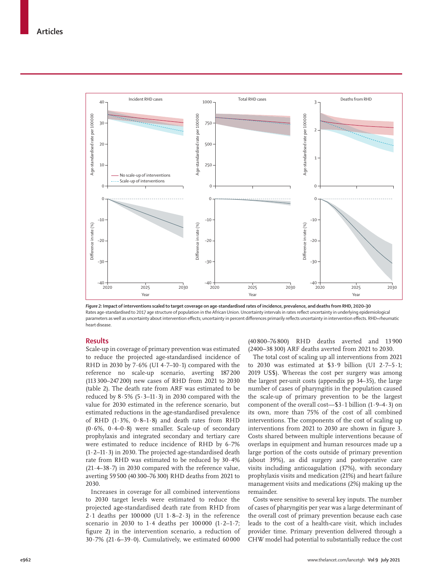

*Figure 2:* **Impact of interventions scaled to target coverage on age-standardised rates of incidence, prevalence, and deaths from RHD, 2020–30** Rates age-standardised to 2017 age structure of population in the African Union. Uncertainty intervals in rates reflect uncertainty in underlying epidemiological parameters as well as uncertainty about intervention effects; uncertainty in percent differences primarily reflects uncertainty in intervention effects. RHD=rheumatic heart disease.

## **Results**

Scale-up in coverage of primary prevention was estimated to reduce the projected age-standardised incidence of RHD in 2030 by  $7.6\%$  (UI 4 $.7-10.1$ ) compared with the reference no scale-up scenario, averting 187200 (113300–247200) new cases of RHD from 2021 to 2030 (table 2). The death rate from ARF was estimated to be reduced by  $8.5\%$  (5 $.3-11.3$ ) in 2030 compared with the value for 2030 estimated in the reference scenario, but estimated reductions in the age-standardised prevalence of RHD (1·3%, 0·8–1·8) and death rates from RHD  $(0.6\%, 0.4-0.8)$  were smaller. Scale-up of secondary prophylaxis and integrated secondary and tertiary care were estimated to reduce incidence of RHD by 6·7% (1·2–11·3) in 2030. The projected age-standardised death rate from RHD was estimated to be reduced by 30·4% (21·4–38·7) in 2030 compared with the reference value, averting 59500 (40 300–76 300) RHD deaths from 2021 to 2030.

Increases in coverage for all combined interventions to 2030 target levels were estimated to reduce the projected age-standardised death rate from RHD from 2 $\cdot$ 1 deaths per 100000 (UI 1 $\cdot$ 8-2 $\cdot$ 3) in the reference scenario in 2030 to 1 $\cdot$ 4 deaths per 100000 (1 $\cdot$ 2-1 $\cdot$ 7; figure 2) in the intervention scenario, a reduction of 30·7% (21·6–39·0). Cumulatively, we estimated 60 000

(40 800–76 800) RHD deaths averted and 13 900 (2400–38 300) ARF deaths averted from 2021 to 2030.

The total cost of scaling up all interventions from 2021 to 2030 was estimated at  $$3.9$  billion (UI 2.7-5.1; 2019 US\$). Whereas the cost per surgery was among the largest per-unit costs (appendix pp 34–35), the large number of cases of pharyngitis in the population caused the scale-up of primary prevention to be the largest component of the overall cost—\$3 $\cdot$ 1 billion (1 $\cdot$ 9–4 $\cdot$ 3) on its own, more than 75% of the cost of all combined interventions. The components of the cost of scaling up interventions from 2021 to 2030 are shown in figure 3. Costs shared between multiple interventions because of overlaps in equipment and human resources made up a large portion of the costs outside of primary prevention (about 39%), as did surgery and postoperative care visits including anticoagulation (37%), with secondary prophylaxis visits and medication (21%) and heart failure management visits and medications (2%) making up the remainder.

Costs were sensitive to several key inputs. The number of cases of pharyngitis per year was a large determinant of the overall cost of primary prevention because each case leads to the cost of a health-care visit, which includes provider time. Primary prevention delivered through a CHW model had potential to substantially reduce the cost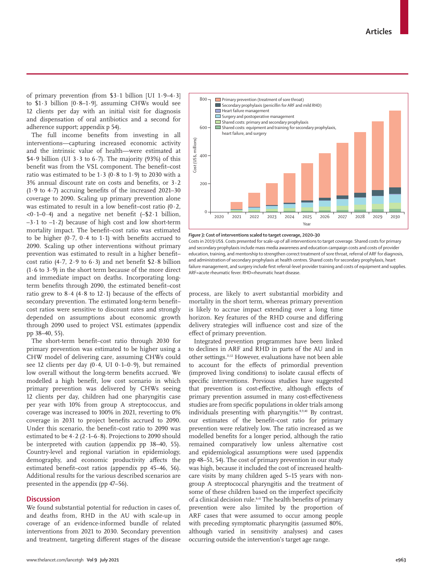of primary prevention (from \$3·1 billion [UI 1·9–4·3] to \$1·3 billion [0·8–1·9], assuming CHWs would see 12 clients per day with an initial visit for diagnosis and dispensation of oral antibiotics and a second for adherence support; appendix p 54).

The full income benefits from investing in all interventions—capturing increased economic activity and the intrinsic value of health—were estimated at \$4.9 billion (UI 3.3 to 6.7). The majority (93%) of this benefit was from the VSL component. The benefit–cost ratio was estimated to be  $1.3$  (0 $.8$  to  $1.9$ ) to 2030 with a  $3\%$  annual discount rate on costs and benefits, or  $3.2$ (1·9 to 4·7) accruing benefits of the increased 2021–30 coverage to 2090. Scaling up primary prevention alone was estimated to result in a low benefit-cost ratio  $(0.2, 1.5)$ <0·1–0·4) and a negative net benefit (–\$2·1 billion,  $-3.1$  to  $-1.2$ ) because of high cost and low short-term mortality impact. The benefit–cost ratio was estimated to be higher  $(0.7, 0.4$  to 1.1) with benefits accrued to 2090. Scaling up other interventions without primary prevention was estimated to result in a higher benefit– cost ratio (4.7, 2.9 to 6.3) and net benefit  $$2.8$  billion (1·6 to 3·9) in the short term because of the more direct and immediate impact on deaths. Incorporating longterm benefits through 2090, the estimated benefit–cost ratio grew to  $8.4$  (4.8 to 12.1) because of the effects of secondary prevention. The estimated long-term benefit– cost ratios were sensitive to discount rates and strongly depended on assumptions about economic growth through 2090 used to project VSL estimates (appendix pp 38–40, 55).

The short-term benefit–cost ratio through 2030 for primary prevention was estimated to be higher using a CHW model of delivering care, assuming CHWs could see 12 clients per day  $(0.4, U1 0.1-0.9)$ , but remained low overall without the long-term benefits accrued. We modelled a high benefit, low cost scenario in which primary prevention was delivered by CHWs seeing 12 clients per day, children had one pharyngitis case per year with 10% from group A streptococcus, and coverage was increased to 100% in 2021, reverting to 0% coverage in 2031 to project benefits accrued to 2090. Under this scenario, the benefit–cost ratio to 2090 was estimated to be  $4.2$  ( $2.1-6.8$ ). Projections to 2090 should be interpreted with caution (appendix pp 38–40, 55). Country-level and regional variation in epidemiology, demography, and economic productivity affects the estimated benefit–cost ratios (appendix pp 45–46, 56). Additional results for the various described scenarios are presented in the appendix (pp 47–56).

## **Discussion**

We found substantial potential for reduction in cases of, and deaths from, RHD in the AU with scale-up in coverage of an evidence-informed bundle of related interventions from 2021 to 2030. Secondary prevention and treatment, targeting different stages of the disease



*Figure 3:* **Cost of interventions scaled to target coverage, 2020–30**

**Primary prevention (treatment of sore throat)**  $\blacksquare$  Secondary prophylaxis (penicillin for ARF and mild RHD)

Heart failure management

800

Costs in 2019 US\$. Costs presented for scale-up of all interventions to target coverage. Shared costs for primary and secondary prophylaxis include mass media awareness and education campaign costs and costs of provider education, training, and mentorship to strengthen correct treatment of sore throat, referral of ARF for diagnosis, and administration of secondary prophylaxis at health centres. Shared costs for secondary prophylaxis, heart failure management, and surgery include first referral-level provider training and costs of equipment and supplies. ARF=acute rheumatic fever. RHD=rheumatic heart disease.

process, are likely to avert substantial morbidity and mortality in the short term, whereas primary prevention is likely to accrue impact extending over a long time horizon. Key features of the RHD course and differing delivery strategies will influence cost and size of the effect of primary prevention.

Integrated prevention programmes have been linked to declines in ARF and RHD in parts of the AU and in other settings.11,12 However, evaluations have not been able to account for the effects of primordial prevention (improved living conditions) to isolate causal effects of specific interventions. Previous studies have suggested that prevention is cost-effective, although effects of primary prevention assumed in many cost-effectiveness studies are from specific populations in older trials among individuals presenting with pharyngitis.<sup>8,9,40</sup> By contrast, our estimates of the benefit–cost ratio for primary prevention were relatively low. The ratio increased as we modelled benefits for a longer period, although the ratio remained comparatively low unless alternative cost and epidemiological assumptions were used (appendix pp 48–51, 54). The cost of primary prevention in our study was high, because it included the cost of increased healthcare visits by many children aged 5–15 years with nongroup A streptococcal pharyngitis and the treatment of some of these children based on the imperfect specificity of a clinical decision rule.<sup>8,41</sup> The health benefits of primary prevention were also limited by the proportion of ARF cases that were assumed to occur among people with preceding symptomatic pharyngitis (assumed 80%, although varied in sensitivity analyses) and cases occurring outside the intervention's target age range.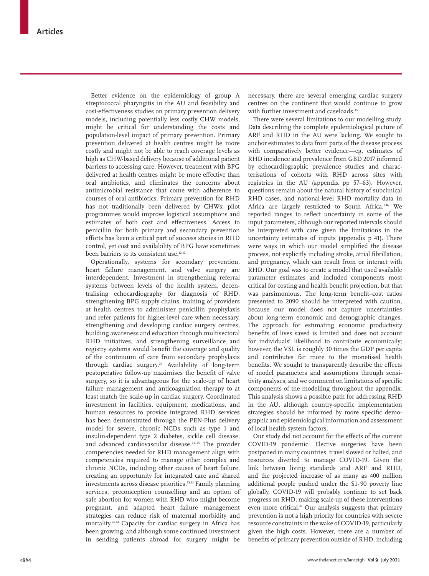Better evidence on the epidemiology of group A streptococcal pharyngitis in the AU and feasibility and cost-effectiveness studies on primary prevention delivery models, including potentially less costly CHW models, might be critical for understanding the costs and population-level impact of primary prevention. Primary prevention delivered at health centres might be more costly and might not be able to reach coverage levels as high as CHW-based delivery because of additional patient barriers to accessing care. However, treatment with BPG delivered at health centres might be more effective than oral antibiotics, and eliminates the concerns about antimicrobial resistance that come with adherence to courses of oral antibiotics. Primary prevention for RHD has not traditionally been delivered by CHWs; pilot programmes would improve logistical assumptions and estimates of both cost and effectiveness. Access to penicillin for both primary and secondary prevention efforts has been a critical part of success stories in RHD control, yet cost and availability of BPG have sometimes been barriers to its consistent use.<sup>12,42</sup>

Operationally, systems for secondary prevention, heart failure management, and valve surgery are interdependent. Investment in strengthening referral systems between levels of the health system, decentralising echocardiography for diagnosis of RHD, strengthening BPG supply chains, training of providers at health centres to administer penicillin prophylaxis and refer patients for higher-level care when necessary, strengthening and developing cardiac surgery centres, building awareness and education through multisectoral RHD initiatives, and strengthening surveillance and registry systems would benefit the coverage and quality of the continuum of care from secondary prophylaxis through cardiac surgery.20 Availability of long-term postoperative follow-up maximises the benefit of valve surgery, so it is advantageous for the scale-up of heart failure management and anticoagulation therapy to at least match the scale-up in cardiac surgery. Coordinated investment in facilities, equipment, medications, and human resources to provide integrated RHD services has been demonstrated through the PEN-Plus delivery model for severe, chronic NCDs such as type 1 and insulin-dependent type 2 diabetes, sickle cell disease, and advanced cardiovascular disease.23–25 The provider competencies needed for RHD management align with competencies required to manage other complex and chronic NCDs, including other causes of heart failure, creating an opportunity for integrated care and shared investments across disease priorities.15,43 Family planning services, preconception counselling and an option of safe abortion for women with RHD who might become pregnant, and adapted heart failure management strategies can reduce risk of maternal morbidity and mortality.26,44 Capacity for cardiac surgery in Africa has been growing, and although some continued investment in sending patients abroad for surgery might be necessary, there are several emerging cardiac surgery centres on the continent that would continue to grow with further investment and caseloads.<sup>45</sup>

There were several limitations to our modelling study. Data describing the complete epidemiological picture of ARF and RHD in the AU were lacking. We sought to anchor estimates to data from parts of the disease process with comparatively better evidence—eg, estimates of RHD incidence and prevalence from GBD 2017 informed by echocardiographic prevalence studies and characterisations of cohorts with RHD across sites with registries in the AU (appendix pp 57–63). However, questions remain about the natural history of subclinical RHD cases, and national-level RHD mortality data in Africa are largely restricted to South Africa.<sup>1,46</sup> We reported ranges to reflect uncertainty in some of the input parameters, although our reported intervals should be interpreted with care given the limitations in the uncertainty estimates of inputs (appendix p 41). There were ways in which our model simplified the disease process, not explicitly including stroke, atrial fibrillation, and pregnancy, which can result from or interact with RHD. Our goal was to create a model that used available parameter estimates and included components most critical for costing and health benefit projection, but that was parsimonious. The long-term benefit–cost ratios presented to 2090 should be interpreted with caution, because our model does not capture uncertainties about long-term economic and demographic changes. The approach for estimating economic productivity benefits of lives saved is limited and does not account for individuals' likelihood to contribute economically; however, the VSL is roughly 30 times the GDP per capita and contributes far more to the monetised health benefits. We sought to transparently describe the effects of model parameters and assumptions through sensitivity analyses, and we comment on limitations of specific components of the modelling throughout the appendix. This analysis shows a possible path for addressing RHD in the AU, although country-specific implementation strategies should be informed by more specific demographic and epidemiological information and assessment of local health system factors.

Our study did not account for the effects of the current COVID-19 pandemic. Elective surgeries have been postponed in many countries, travel slowed or halted, and resources diverted to manage COVID-19. Given the link between living standards and ARF and RHD, and the projected increase of as many as 400 million additional people pushed under the \$1·90 poverty line globally, COVID-19 will probably continue to set back progress on RHD, making scale-up of these interventions even more critical.<sup>47</sup> Our analysis suggests that primary prevention is not a high priority for countries with severe resource constraints in the wake of COVID-19, particularly given the high costs. However, there are a number of benefits of primary prevention outside of RHD, including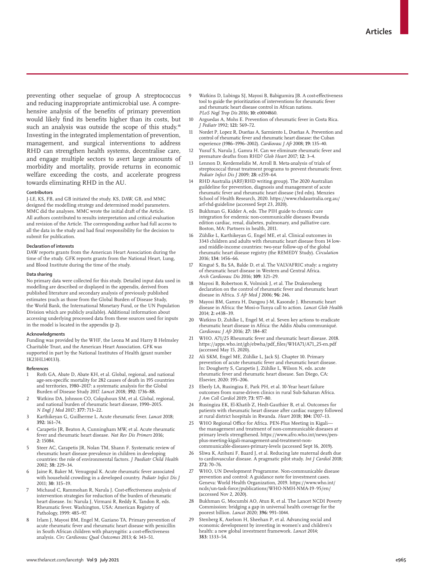preventing other sequelae of group A streptococcus and reducing inappropriate antimicrobial use. A comprehensive analysis of the benefits of primary prevention would likely find its benefits higher than its costs, but such an analysis was outside the scope of this study.<sup>48</sup> Investing in the integrated implementation of prevention, management, and surgical interventions to address RHD can strengthen health systems, decentralise care, and engage multiple sectors to avert large amounts of morbidity and mortality, provide returns in economic welfare exceeding the costs, and accelerate progress towards eliminating RHD in the AU.

#### **Contributors**

J-LE, KS, FB, and GB initiated the study. KS, DAW, GB, and MMC designed the modelling strategy and determined model parameters. MMC did the analyses. MMC wrote the initial draft of the Article. All authors contributed to results interpretation and critical evaluation and revision of the Article. The corresponding author had full access to all the data in the study and had final responsibility for the decision to submit for publication.

#### **Declaration of interests**

DAW reports grants from the American Heart Association during the time of the study. GFK reports grants from the National Heart, Lung, and Blood Institute during the time of the study.

#### **Data sharing**

No primary data were collected for this study. Detailed input data used in modelling are described or displayed in the appendix, derived from published literature and secondary analysis of previously published estimates (such as those from the Global Burden of Disease Study, the World Bank, the International Monetary Fund, or the UN Population Division which are publicly available). Additional information about accessing underlying processed data from these sources used for inputs in the model is located in the appendix (p 2).

#### **Acknowledgments**

Funding was provided by the WHF, the Leona M and Harry B Helmsley Charitable Trust, and the American Heart Association. GFK was supported in part by the National Institutes of Health (grant number 1K23HL140133).

#### **References**

- Roth GA, Abate D, Abate KH, et al. Global, regional, and national age-sex-specific mortality for 282 causes of death in 195 countries and territories, 1980–2017: a systematic analysis for the Global Burden of Disease Study 2017. *Lancet* 2018; **392:** 1736–88.
- 2 Watkins DA, Johnson CO, Colquhoun SM, et al. Global, regional, and national burden of rheumatic heart disease, 1990–2015. *N Engl J Med* 2017; **377:** 713–22.
- 3 Karthikeyan G, Guilherme L. Acute rheumatic fever. *Lancet* 2018; **392:** 161–74.
- 4 Carapetis JR, Beaton A, Cunningham MW, et al. Acute rheumatic fever and rheumatic heart disease. *Nat Rev Dis Primers* 2016; **2:** 15084.
- 5 Steer AC, Carapetis JR, Nolan TM, Shann F. Systematic review of rheumatic heart disease prevalence in children in developing countries: the role of environmental factors. *J Paediatr Child Health* 2002; **38:** 229–34.
- Jaine R, Baker M, Venugopal K. Acute rheumatic fever associated with household crowding in a developed country. *Pediatr Infect Dis J* 2011; **30:** 315–19.
- 7 Michaud C, Rammohan R, Narula J. Cost-effectiveness analysis of intervention strategies for reduction of the burden of rheumatic heart disease. In: Narula J, Virmani R, Reddy K, Tandon R, eds. Rheumatic fever. Washington, USA: American Registry of Pathology, 1999: 485–97.
- Irlam J, Mayosi BM, Engel M, Gaziano TA. Primary prevention of acute rheumatic fever and rheumatic heart disease with penicillin in South African children with pharyngitis: a cost-effectiveness analysis. *Circ Cardiovasc Qual Outcomes* 2013; **6:** 343–51.
- 9 Watkins D, Lubinga SJ, Mayosi B, Babigumira JB. A cost-effectiveness tool to guide the prioritization of interventions for rheumatic fever and rheumatic heart disease control in African nations. *PLoS Negl Trop Dis* 2016; **10:** e0004860.
- 10 Arguedas A, Mohs E. Prevention of rheumatic fever in Costa Rica. *J Pediatr* 1992; **121:** 569–72.
- 11 Nordet P, Lopez R, Dueñas A, Sarmiento L, Dueñas A. Prevention and control of rheumatic fever and rheumatic heart disease: the Cuban experience (1986–1996–2002). *Cardiovasc J Afr* 2008; **19:** 135–40.
- 12 Yusuf S, Narula J, Gamra H. Can we eliminate rheumatic fever and premature deaths from RHD? *Glob Heart* 2017; **12:** 3–4.
- 13 Lennon D, Kerdemelidis M, Arroll B. Meta-analysis of trials of streptococcal throat treatment programs to prevent rheumatic fever. *Pediatr Infect Dis J* 2009; **28:** e259–64.
- 14 RHD Australia (ARF/RHD writing group). The 2020 Australian guildeline for prevention, diagnosis and management of acute rheumatic fever and rheumatic heart disease (3rd edn). Menzies School of Health Research, 2020. https://www.rhdaustralia.org.au/ arf-rhd-guideline (accessed Sept 23, 2020).
- Bukhman G, Kidder A, eds. The PIH guide to chronic care integration for endemic non-communicable diseases Rwanda edition cardiac, renal, diabetes, pulmonary, and palliative care. Boston, MA: Partners in health, 2011.
- 16 Zühlke L, Karthikeyan G, Engel ME, et al. Clinical outcomes in 3343 children and adults with rheumatic heart disease from 14 lowand middle-income countries: two-year follow-up of the global rheumatic heart disease registry (the REMEDY Study). *Circulation* 2016; **134:** 1456–66.
- 17 Kingué S, Ba SA, Balde D, et al. The VALVAFRIC study: a registry of rheumatic heart disease in Western and Central Africa. *Arch Cardiovasc Dis* 2016; **109:** 321–29.
- 18 Mayosi B, Robertson K, Volmink J, et al. The Drakensberg declaration on the control of rheumatic fever and rheumatic heart disease in Africa. *S Afr Med J* 2006; **96:** 246.
- 19 Mayosi BM, Gamra H, Dangou J-M, Kasonde J. Rheumatic heart disease in Africa: the Mosi-o-Tunya call to action. *Lancet Glob Health* 2014; **2:** e438–39.
- 20 Watkins D, Zuhlke L, Engel M, et al. Seven key actions to eradicate rheumatic heart disease in Africa: the Addis Ababa communiqué. *Cardiovasc J Afr* 2016; **27:** 184–87.
- 21 WHO. A71/25 Rheumatic fever and rheumatic heart disease. 2018. [https://apps.who.int/gb/ebwha/pdf\\_files/WHA71/A71\\_25-en.pdf](https://apps.who.int/gb/ebwha/pdf_files/WHA71/A71_25-en.pdf) (accessed May 15, 2020).
- 22 Ali SKM, Engel ME, Zühlke L, Jack SJ. Chapter 10. Primary prevention of acute rheumatic fever and rheumatic heart disease. In: Dougherty S, Carapetis J, Zühlke L, Wilson N, eds. acute rheumatic fever and rheumatic heart disease. San Diego, CA: Elsevier, 2020: 195–206.
- 23 Eberly LA, Rusingiza E, Park PH, et al. 10-Year heart failure outcomes from nurse-driven clinics in rural Sub-Saharan Africa. *J Am Coll Cardiol* 2019; **73:** 977–80.
- 24 Rusingiza EK, El-Khatib Z, Hedt-Gauthier B, et al. Outcomes for patients with rheumatic heart disease after cardiac surgery followed at rural district hospitals in Rwanda. *Heart* 2018; **104:** 1707–13.
- 25 WHO Regional Office for Africa. PEN-Plus Meeting in Kigali the management and treatment of non-communicable diseases at primary levels strengthened. https://www.afro.who.int/news/penplus-meeting-kigali-management-and-treatment-noncommunicable-diseases-primary-levels (accessed Sept 16, 2019).
- 26 Sliwa K, Azibani F, Baard J, et al. Reducing late maternal death due to cardiovascular disease. A pragmatic pilot study. *Int J Cardiol* 2018; **272:** 70–76.
- 27 WHO, UN Development Programme. Non-communicable disease prevention and control: A guidance note for investment cases. Geneva: World Health Organization, 2019. [https://www.who.int/](https://www.who.int/ncds/un-task-force/publications/WHO-NMH-NMA-19.95/en/) [ncds/un-task-force/publications/WHO-NMH-NMA-19·95/en/](https://www.who.int/ncds/un-task-force/publications/WHO-NMH-NMA-19.95/en/) (accessed Nov 2, 2020).
- Bukhman G, Mocumbi AO, Atun R, et al. The Lancet NCDI Poverty Commission: bridging a gap in universal health coverage for the poorest billion. *Lancet* 2020; **396:** 991–1044.
- Stenberg K, Axelson H, Sheehan P, et al. Advancing social and economic development by investing in women's and children's health: a new global investment framework. *Lancet* 2014; **383:** 1333–54.